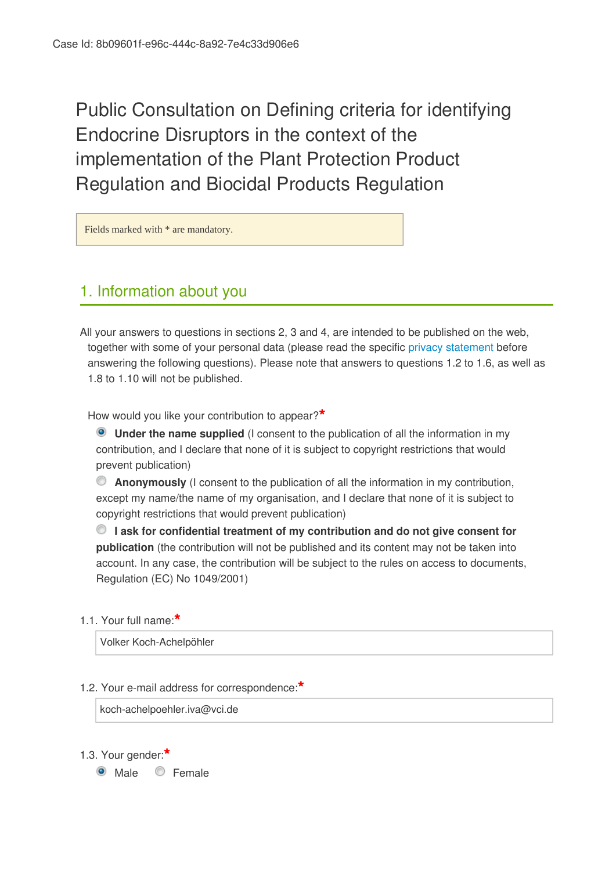Public Consultation on Defining criteria for identifying Endocrine Disruptors in the context of the implementation of the Plant Protection Product Regulation and Biocidal Products Regulation

Fields marked with \* are mandatory.

## 1. Information about you

All your answers to questions in sections 2, 3 and 4, are intended to be published on the web, together with some of your personal data (please read the specific privacy statement before answering the following questions). Please note that answers to questions 1.2 to 1.6, as well as 1.8 to 1.10 will not be published.

How would you like your contribution to appear?**\***

**Under the name supplied** (I consent to the publication of all the information in my contribution, and I declare that none of it is subject to copyright restrictions that would prevent publication)

**Anonymously** (I consent to the publication of all the information in my contribution, except my name/the name of my organisation, and I declare that none of it is subject to copyright restrictions that would prevent publication)

**I ask for confidential treatment of my contribution and do not give consent for publication** (the contribution will not be published and its content may not be taken into account. In any case, the contribution will be subject to the rules on access to documents, Regulation (EC) No 1049/2001)

1.1. Your full name:**\***

Volker Koch-Achelpöhler

### 1.2. Your e-mail address for correspondence:**\***

koch-achelpoehler.iva@vci.de

1.3. Your gender:**\***

• Male <sup>•</sup> Female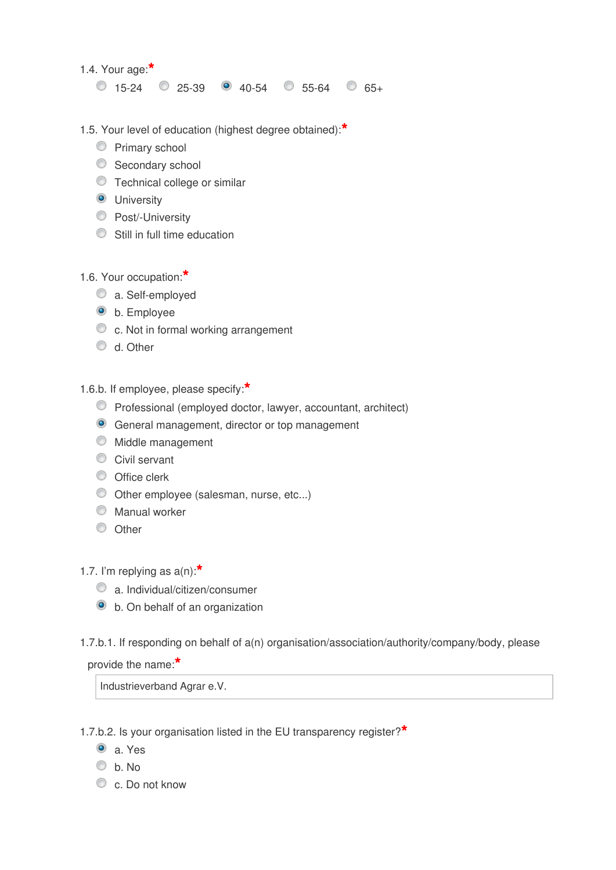1.4. Your age:**\***

 $0$  15-24  $0$  25-39  $0$  40-54  $0$  55-64  $0$  65+

1.5. Your level of education (highest degree obtained):**\***

- **Primary school**
- Secondary school
- Technical college or similar
- **O** University
- **Post/-University**
- Still in full time education
- 1.6. Your occupation:**\***
	- a. Self-employed
	- <sup>O</sup> b. Employee
	- C c. Not in formal working arrangement
	- $\bullet$  d. Other

1.6.b. If employee, please specify:**\***

- Professional (employed doctor, lawyer, accountant, architect)
- General management, director or top management
- $\bullet$  Middle management
- Civil servant
- O Office clerk
- Other employee (salesman, nurse, etc...)
- Manual worker
- O Other
- 1.7. I'm replying as a(n):**\***
	- a. Individual/citizen/consumer
	- b. On behalf of an organization
- 1.7.b.1. If responding on behalf of a(n) organisation/association/authority/company/body, please

provide the name:**\***

Industrieverband Agrar e.V.

1.7.b.2. Is your organisation listed in the EU transparency register?**\***

- a. Yes
- $\circ$  h No.
- c. Do not know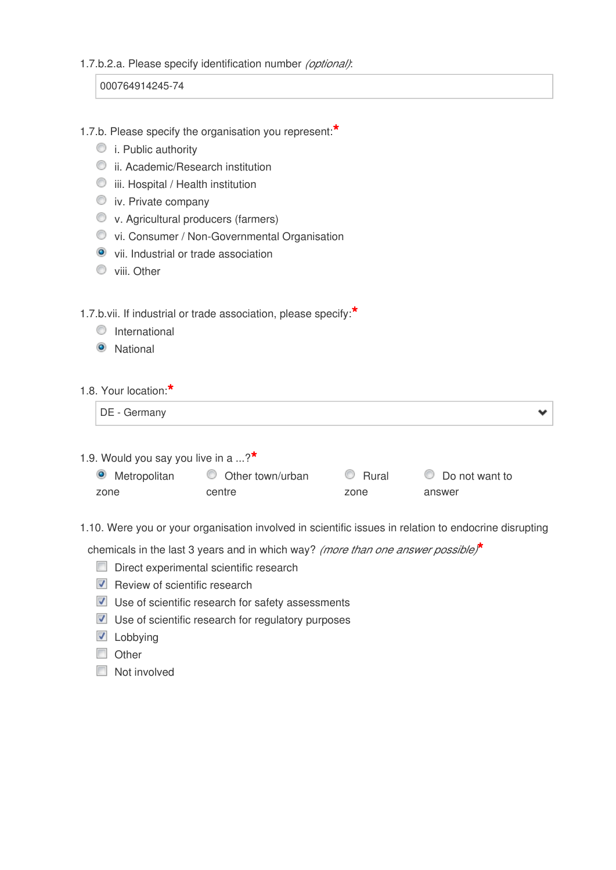1.7.b.2.a. Please specify identification number *(optional)*:

000764914245-74

- 1.7.b. Please specify the organisation you represent:**\***
	- $\bullet$  i. Public authority
	- ii. Academic/Research institution
	- $\bullet$  iii. Hospital / Health institution
	- $\bullet$  iv. Private company
	- v. Agricultural producers (farmers)
	- vi. Consumer / Non-Governmental Organisation
	- **O** vii. Industrial or trade association
	- wiii. Other

1.7.b.vii. If industrial or trade association, please specify:**\***

- **O** International
- **O** National
- 1.8. Your location:**\***

| DE - Germany |  |  |
|--------------|--|--|
|--------------|--|--|

1.9. Would you say you live in a ...?**\***

| • Metropolitan | O Other town/urban | $\circ$ Rural | © Do not want to |
|----------------|--------------------|---------------|------------------|
| zone           | centre             | zone          | answer           |

1.10. Were you or your organisation involved in scientific issues in relation to endocrine disrupting

chemicals in the last 3 years and in which way? *(more than one answer possible)***\***

- Direct experimental scientific research
- $\triangledown$  Review of scientific research
- Use of scientific research for safety assessments
- Use of scientific research for regulatory purposes
- $\blacksquare$  Lobbying
- Other
- Not involved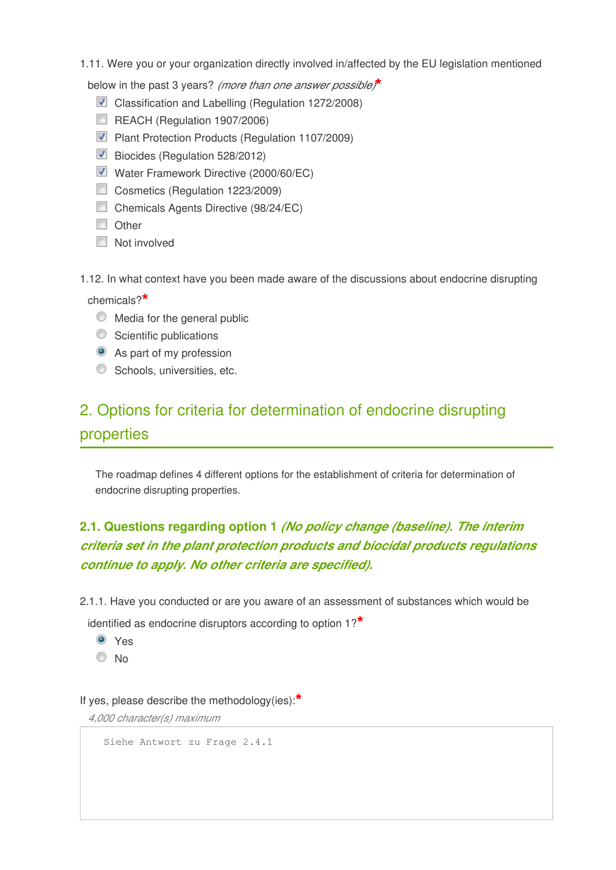1.11. Were you or your organization directly involved in/affected by the EU legislation mentioned

below in the past 3 years? *(more than one answer possible)***\***

- Classification and Labelling (Regulation 1272/2008)
- REACH (Regulation 1907/2006)
- **Plant Protection Products (Regulation 1107/2009)**
- Biocides (Regulation 528/2012)
- Water Framework Directive (2000/60/EC)
- Cosmetics (Regulation 1223/2009)
- Chemicals Agents Directive (98/24/EC)
- **Other**
- **Not involved**
- 1.12. In what context have you been made aware of the discussions about endocrine disrupting

chemicals?**\***

- $\bullet$  Media for the general public
- $\bullet$  Scientific publications
- As part of my profession
- Schools, universities, etc.

# 2. Options for criteria for determination of endocrine disrupting properties

The roadmap defines 4 different options for the establishment of criteria for determination of endocrine disrupting properties.

### **2.1. Questions regarding option 1** *(No policy change (baseline). The interim criteria set in the plant protection products and biocidal products regulations continue to apply. No other criteria are specified).*

2.1.1. Have you conducted or are you aware of an assessment of substances which would be

identified as endocrine disruptors according to option 1?**\***

Yes No

If yes, please describe the methodology(ies):**\***

*4,000 character(s) maximum* 

Siehe Antwort zu Frage 2.4.1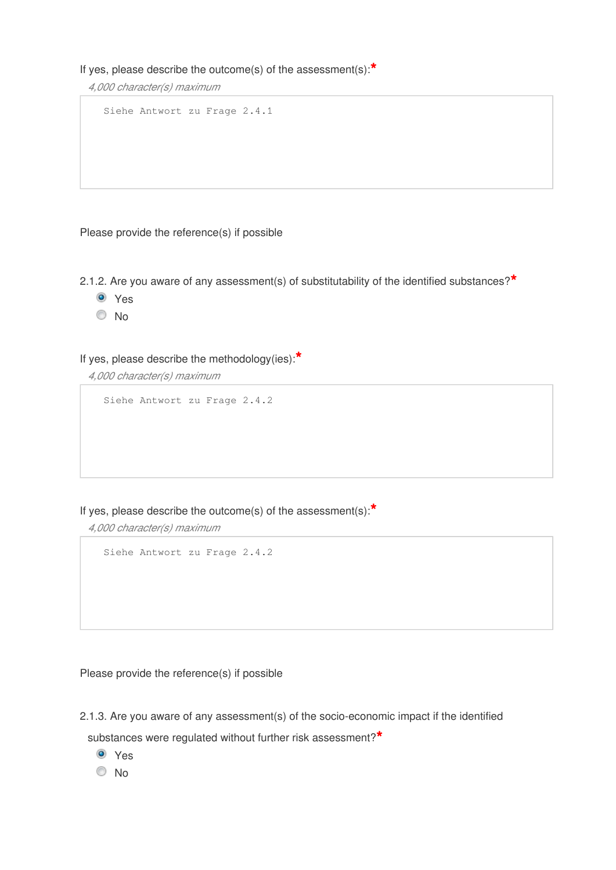If yes, please describe the outcome(s) of the assessment(s):**\***

*4,000 character(s) maximum* 

```
Siehe Antwort zu Frage 2.4.1
```
Please provide the reference(s) if possible

2.1.2. Are you aware of any assessment(s) of substitutability of the identified substances?**\***

- **O** Yes
- <sup>O</sup>No

### If yes, please describe the methodology(ies):**\***

*4,000 character(s) maximum* 

```
Siehe Antwort zu Frage 2.4.2
```
### If yes, please describe the outcome(s) of the assessment(s):**\***

*4,000 character(s) maximum* 

Siehe Antwort zu Frage 2.4.2

Please provide the reference(s) if possible

2.1.3. Are you aware of any assessment(s) of the socio-economic impact if the identified

substances were regulated without further risk assessment?**\***

- Yes
- No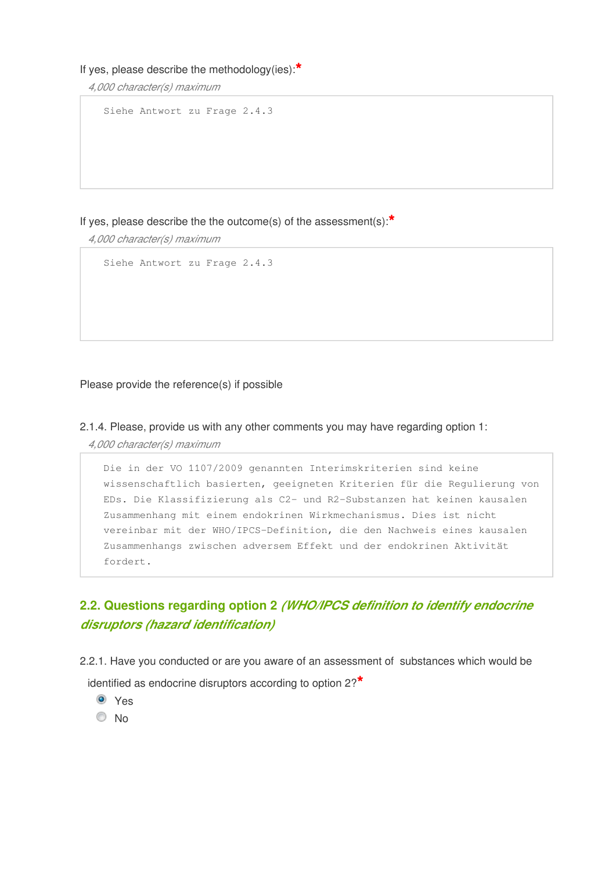#### If yes, please describe the methodology(ies):**\***

*4,000 character(s) maximum* 

Siehe Antwort zu Frage 2.4.3

If yes, please describe the the outcome(s) of the assessment(s):**\***

*4,000 character(s) maximum* 

Siehe Antwort zu Frage 2.4.3

Please provide the reference(s) if possible

2.1.4. Please, provide us with any other comments you may have regarding option 1:

*4,000 character(s) maximum* 

Die in der VO 1107/2009 genannten Interimskriterien sind keine wissenschaftlich basierten, geeigneten Kriterien für die Regulierung von EDs. Die Klassifizierung als C2- und R2-Substanzen hat keinen kausalen Zusammenhang mit einem endokrinen Wirkmechanismus. Dies ist nicht vereinbar mit der WHO/IPCS-Definition, die den Nachweis eines kausalen Zusammenhangs zwischen adversem Effekt und der endokrinen Aktivität fordert.

### **2.2. Questions regarding option 2** *(WHO/IPCS definition to identify endocrine disruptors (hazard identification)*

2.2.1. Have you conducted or are you aware of an assessment of substances which would be

identified as endocrine disruptors according to option 2?**\***

- Yes
- $\odot$  No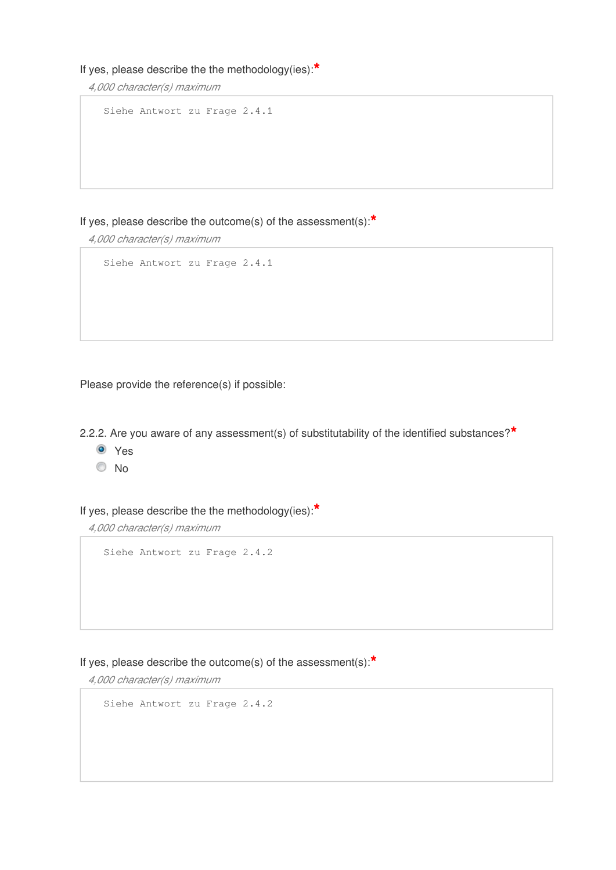#### If yes, please describe the the methodology(ies):**\***

*4,000 character(s) maximum* 

Siehe Antwort zu Frage 2.4.1

If yes, please describe the outcome(s) of the assessment(s):**\***

*4,000 character(s) maximum* 

Siehe Antwort zu Frage 2.4.1

Please provide the reference(s) if possible:

2.2.2. Are you aware of any assessment(s) of substitutability of the identified substances?**\***

- <sup>O</sup> Yes
- <sup>O</sup>No

If yes, please describe the the methodology(ies):**\***

*4,000 character(s) maximum* 

Siehe Antwort zu Frage 2.4.2

If yes, please describe the outcome(s) of the assessment(s):**\***

*4,000 character(s) maximum* 

Siehe Antwort zu Frage 2.4.2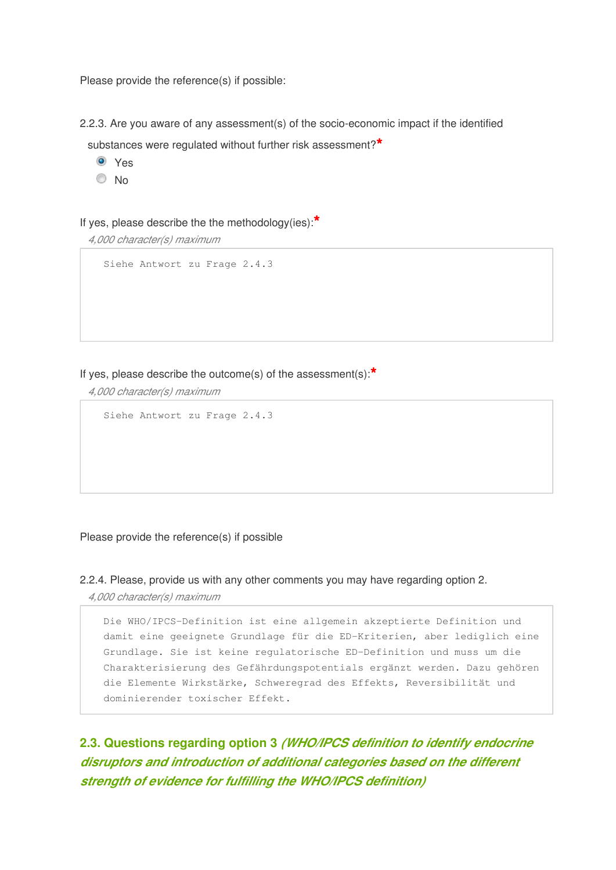Please provide the reference(s) if possible:

2.2.3. Are you aware of any assessment(s) of the socio-economic impact if the identified

substances were regulated without further risk assessment?**\***

- <sup>O</sup> Yes
- <sup>O</sup>No

If yes, please describe the the methodology(ies):**\***

*4,000 character(s) maximum* 

Siehe Antwort zu Frage 2.4.3

If yes, please describe the outcome(s) of the assessment(s):**\***

*4,000 character(s) maximum* 

Siehe Antwort zu Frage 2.4.3

Please provide the reference(s) if possible

2.2.4. Please, provide us with any other comments you may have regarding option 2.

*4,000 character(s) maximum* 

Die WHO/IPCS-Definition ist eine allgemein akzeptierte Definition und damit eine geeignete Grundlage für die ED-Kriterien, aber lediglich eine Grundlage. Sie ist keine regulatorische ED-Definition und muss um die Charakterisierung des Gefährdungspotentials ergänzt werden. Dazu gehören die Elemente Wirkstärke, Schweregrad des Effekts, Reversibilität und dominierender toxischer Effekt.

**2.3. Questions regarding option 3** *(WHO/IPCS definition to identify endocrine disruptors and introduction of additional categories based on the different strength of evidence for fulfilling the WHO/IPCS definition)*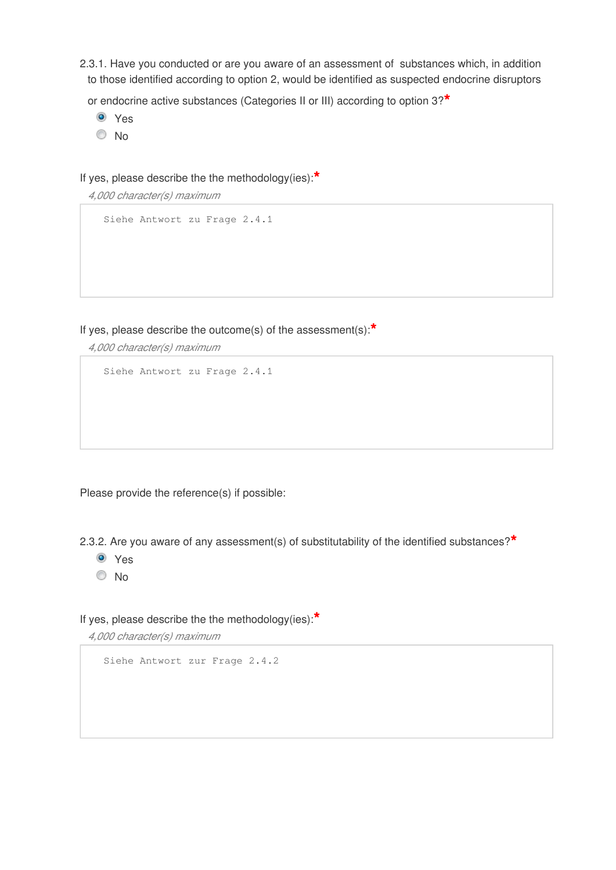2.3.1. Have you conducted or are you aware of an assessment of substances which, in addition to those identified according to option 2, would be identified as suspected endocrine disruptors

or endocrine active substances (Categories II or III) according to option 3?**\***

- Yes
- No

If yes, please describe the the methodology(ies):**\***

```
4,000 character(s) maximum
```

```
Siehe Antwort zu Frage 2.4.1
```
If yes, please describe the outcome(s) of the assessment(s):**\***

*4,000 character(s) maximum* 

Siehe Antwort zu Frage 2.4.1

Please provide the reference(s) if possible:

2.3.2. Are you aware of any assessment(s) of substitutability of the identified substances?**\***

- Yes
- No

If yes, please describe the the methodology(ies):**\***

*4,000 character(s) maximum* 

Siehe Antwort zur Frage 2.4.2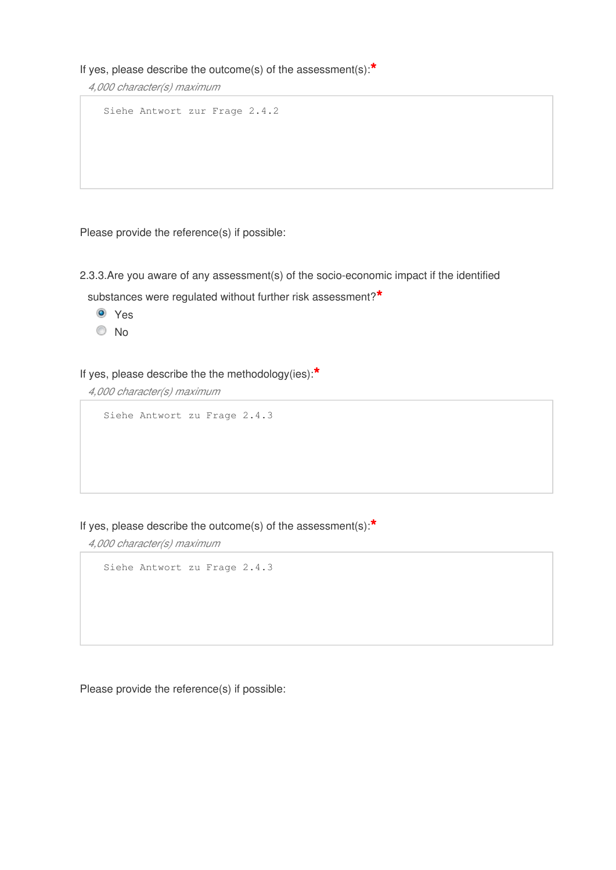If yes, please describe the outcome(s) of the assessment(s):**\***

*4,000 character(s) maximum* 

Siehe Antwort zur Frage 2.4.2

Please provide the reference(s) if possible:

2.3.3.Are you aware of any assessment(s) of the socio-economic impact if the identified

substances were regulated without further risk assessment?**\***

Yes

No

If yes, please describe the the methodology(ies):**\***

*4,000 character(s) maximum* 

Siehe Antwort zu Frage 2.4.3

If yes, please describe the outcome(s) of the assessment(s):**\***

*4,000 character(s) maximum* 

Siehe Antwort zu Frage 2.4.3

Please provide the reference(s) if possible: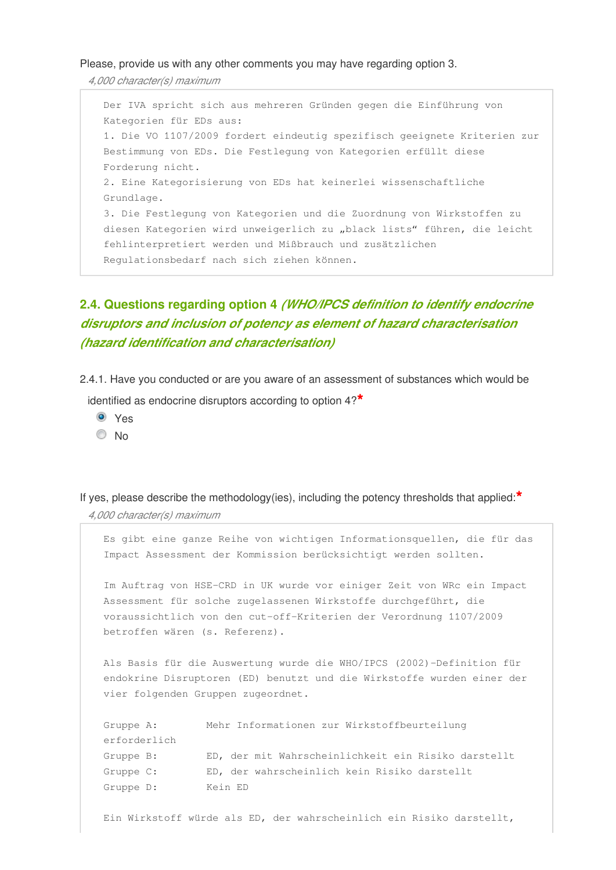#### Please, provide us with any other comments you may have regarding option 3.

*4,000 character(s) maximum* 

Der IVA spricht sich aus mehreren Gründen gegen die Einführung von Kategorien für EDs aus: 1. Die VO 1107/2009 fordert eindeutig spezifisch geeignete Kriterien zur Bestimmung von EDs. Die Festlegung von Kategorien erfüllt diese Forderung nicht. 2. Eine Kategorisierung von EDs hat keinerlei wissenschaftliche Grundlage. 3. Die Festlegung von Kategorien und die Zuordnung von Wirkstoffen zu diesen Kategorien wird unweigerlich zu "black lists" führen, die leicht fehlinterpretiert werden und Mißbrauch und zusätzlichen Regulationsbedarf nach sich ziehen können.

## **2.4. Questions regarding option 4** *(WHO/IPCS definition to identify endocrine disruptors and inclusion of potency as element of hazard characterisation (hazard identification and characterisation)*

2.4.1. Have you conducted or are you aware of an assessment of substances which would be

identified as endocrine disruptors according to option 4?**\***

- **O** Yes
- $\odot$  No

If yes, please describe the methodology(ies), including the potency thresholds that applied:**\*** *4,000 character(s) maximum* 

Es gibt eine ganze Reihe von wichtigen Informationsquellen, die für das Impact Assessment der Kommission berücksichtigt werden sollten. Im Auftrag von HSE-CRD in UK wurde vor einiger Zeit von WRc ein Impact Assessment für solche zugelassenen Wirkstoffe durchgeführt, die voraussichtlich von den cut-off-Kriterien der Verordnung 1107/2009 betroffen wären (s. Referenz). Als Basis für die Auswertung wurde die WHO/IPCS (2002)-Definition für endokrine Disruptoren (ED) benutzt und die Wirkstoffe wurden einer der vier folgenden Gruppen zugeordnet. Gruppe A: Mehr Informationen zur Wirkstoffbeurteilung erforderlich Gruppe B: ED, der mit Wahrscheinlichkeit ein Risiko darstellt Gruppe C: ED, der wahrscheinlich kein Risiko darstellt Gruppe D: Kein ED Ein Wirkstoff würde als ED, der wahrscheinlich ein Risiko darstellt,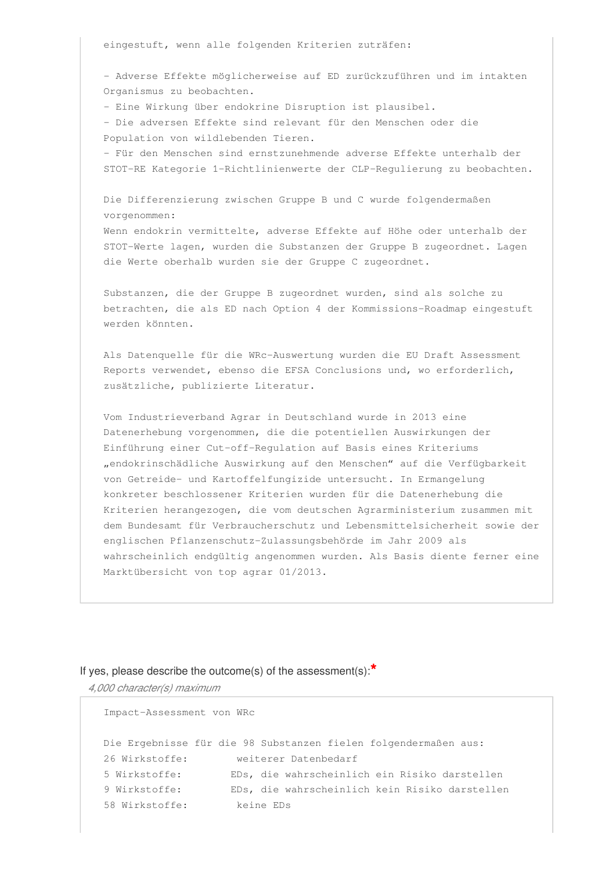eingestuft, wenn alle folgenden Kriterien zuträfen:

- Adverse Effekte möglicherweise auf ED zurückzuführen und im intakten Organismus zu beobachten. - Eine Wirkung über endokrine Disruption ist plausibel. - Die adversen Effekte sind relevant für den Menschen oder die Population von wildlebenden Tieren. - Für den Menschen sind ernstzunehmende adverse Effekte unterhalb der STOT-RE Kategorie 1-Richtlinienwerte der CLP-Regulierung zu beobachten. Die Differenzierung zwischen Gruppe B und C wurde folgendermaßen vorgenommen: Wenn endokrin vermittelte, adverse Effekte auf Höhe oder unterhalb der STOT-Werte lagen, wurden die Substanzen der Gruppe B zugeordnet. Lagen die Werte oberhalb wurden sie der Gruppe C zugeordnet.

Substanzen, die der Gruppe B zugeordnet wurden, sind als solche zu betrachten, die als ED nach Option 4 der Kommissions-Roadmap eingestuft werden könnten.

Als Datenquelle für die WRc-Auswertung wurden die EU Draft Assessment Reports verwendet, ebenso die EFSA Conclusions und, wo erforderlich, zusätzliche, publizierte Literatur.

Vom Industrieverband Agrar in Deutschland wurde in 2013 eine Datenerhebung vorgenommen, die die potentiellen Auswirkungen der Einführung einer Cut-off-Regulation auf Basis eines Kriteriums "endokrinschädliche Auswirkung auf den Menschen" auf die Verfügbarkeit von Getreide- und Kartoffelfungizide untersucht. In Ermangelung konkreter beschlossener Kriterien wurden für die Datenerhebung die Kriterien herangezogen, die vom deutschen Agrarministerium zusammen mit dem Bundesamt für Verbraucherschutz und Lebensmittelsicherheit sowie der englischen Pflanzenschutz-Zulassungsbehörde im Jahr 2009 als wahrscheinlich endgültig angenommen wurden. Als Basis diente ferner eine Marktübersicht von top agrar 01/2013.

#### If yes, please describe the outcome(s) of the assessment(s):**\***

*4,000 character(s) maximum* 

```
Impact-Assessment von WRc
Die Ergebnisse für die 98 Substanzen fielen folgendermaßen aus:
26 Wirkstoffe: weiterer Datenbedarf
5 Wirkstoffe: EDs, die wahrscheinlich ein Risiko darstellen
9 Wirkstoffe: EDs, die wahrscheinlich kein Risiko darstellen
58 Wirkstoffe: keine EDs
```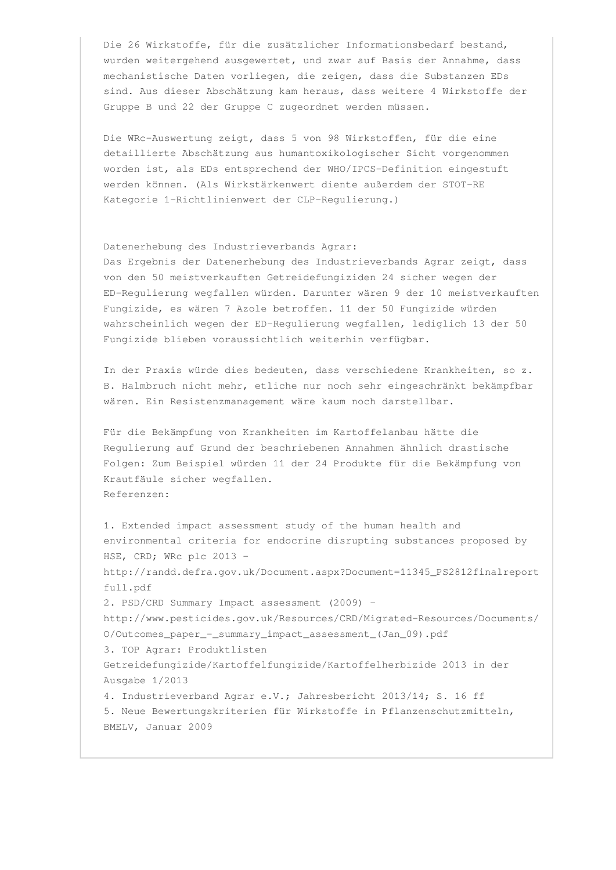Die 26 Wirkstoffe, für die zusätzlicher Informationsbedarf bestand, wurden weitergehend ausgewertet, und zwar auf Basis der Annahme, dass mechanistische Daten vorliegen, die zeigen, dass die Substanzen EDs sind. Aus dieser Abschätzung kam heraus, dass weitere 4 Wirkstoffe der Gruppe B und 22 der Gruppe C zugeordnet werden müssen.

Die WRc-Auswertung zeigt, dass 5 von 98 Wirkstoffen, für die eine detaillierte Abschätzung aus humantoxikologischer Sicht vorgenommen worden ist, als EDs entsprechend der WHO/IPCS-Definition eingestuft werden können. (Als Wirkstärkenwert diente außerdem der STOT-RE Kategorie 1-Richtlinienwert der CLP-Regulierung.)

Datenerhebung des Industrieverbands Agrar:

Das Ergebnis der Datenerhebung des Industrieverbands Agrar zeigt, dass von den 50 meistverkauften Getreidefungiziden 24 sicher wegen der ED-Regulierung wegfallen würden. Darunter wären 9 der 10 meistverkauften Fungizide, es wären 7 Azole betroffen. 11 der 50 Fungizide würden wahrscheinlich wegen der ED-Regulierung wegfallen, lediglich 13 der 50 Fungizide blieben voraussichtlich weiterhin verfügbar.

In der Praxis würde dies bedeuten, dass verschiedene Krankheiten, so z. B. Halmbruch nicht mehr, etliche nur noch sehr eingeschränkt bekämpfbar wären. Ein Resistenzmanagement wäre kaum noch darstellbar.

Für die Bekämpfung von Krankheiten im Kartoffelanbau hätte die Regulierung auf Grund der beschriebenen Annahmen ähnlich drastische Folgen: Zum Beispiel würden 11 der 24 Produkte für die Bekämpfung von Krautfäule sicher wegfallen. Referenzen:

1. Extended impact assessment study of the human health and environmental criteria for endocrine disrupting substances proposed by HSE, CRD; WRc plc 2013 http://randd.defra.gov.uk/Document.aspx?Document=11345\_PS2812finalreport full.pdf 2. PSD/CRD Summary Impact assessment (2009) http://www.pesticides.gov.uk/Resources/CRD/Migrated-Resources/Documents/ O/Outcomes\_paper\_-\_summary\_impact\_assessment\_(Jan\_09).pdf 3. TOP Agrar: Produktlisten Getreidefungizide/Kartoffelfungizide/Kartoffelherbizide 2013 in der Ausgabe 1/2013 4. Industrieverband Agrar e.V.; Jahresbericht 2013/14; S. 16 ff 5. Neue Bewertungskriterien für Wirkstoffe in Pflanzenschutzmitteln, BMELV, Januar 2009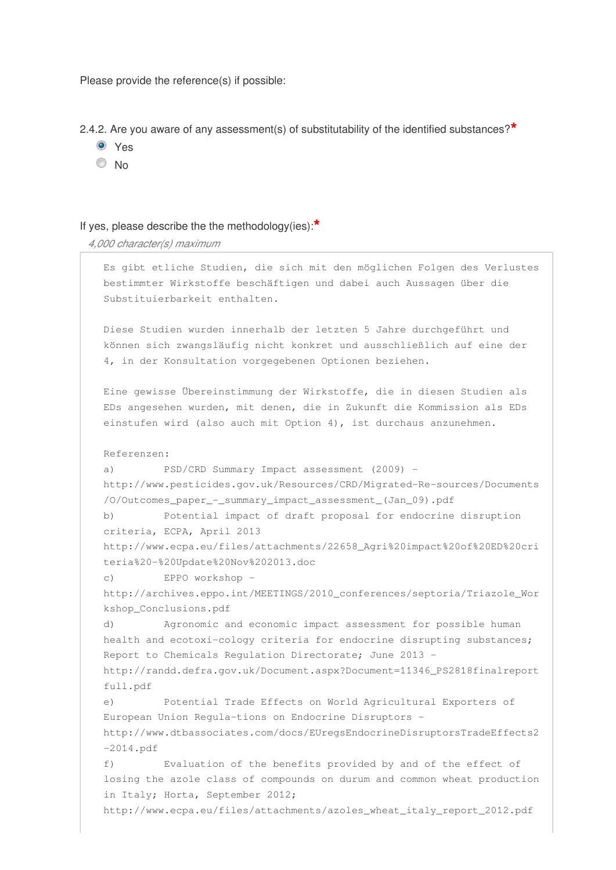Please provide the reference(s) if possible:

2.4.2. Are you aware of any assessment(s) of substitutability of the identified substances?**\***

- Yes
- $\odot$  No

#### If yes, please describe the the methodology(ies):**\***

```
4,000 character(s) maximum
```

```
Es gibt etliche Studien, die sich mit den möglichen Folgen des Verlustes
bestimmter Wirkstoffe beschäftigen und dabei auch Aussagen über die
Substituierbarkeit enthalten.
Diese Studien wurden innerhalb der letzten 5 Jahre durchgeführt und
können sich zwangsläufig nicht konkret und ausschließlich auf eine der
4, in der Konsultation vorgegebenen Optionen beziehen.
Eine gewisse Übereinstimmung der Wirkstoffe, die in diesen Studien als
EDs angesehen wurden, mit denen, die in Zukunft die Kommission als EDs
einstufen wird (also auch mit Option 4), ist durchaus anzunehmen.
Referenzen:
a) PSD/CRD Summary Impact assessment (2009) -
http://www.pesticides.gov.uk/Resources/CRD/Migrated-Re-sources/Documents
/O/Outcomes_paper_-_summary_impact_assessment_(Jan_09).pdf
b) Potential impact of draft proposal for endocrine disruption
criteria, ECPA, April 2013
http://www.ecpa.eu/files/attachments/22658_Agri%20impact%20of%20ED%20cri
teria%20-%20Update%20Nov%202013.doc
c) EPPO workshop -
http://archives.eppo.int/MEETINGS/2010_conferences/septoria/Triazole_Wor
kshop_Conclusions.pdf
d) Agronomic and economic impact assessment for possible human
health and ecotoxi-cology criteria for endocrine disrupting substances;
Report to Chemicals Regulation Directorate; June 2013 -
http://randd.defra.gov.uk/Document.aspx?Document=11346_PS2818finalreport
full.pdf
e) Potential Trade Effects on World Agricultural Exporters of
European Union Regula-tions on Endocrine Disruptors -
http://www.dtbassociates.com/docs/EUregsEndocrineDisruptorsTradeEffects2
-2014.pdf
f) Evaluation of the benefits provided by and of the effect of
losing the azole class of compounds on durum and common wheat production
in Italy; Horta, September 2012;
http://www.ecpa.eu/files/attachments/azoles_wheat_italy_report_2012.pdf
```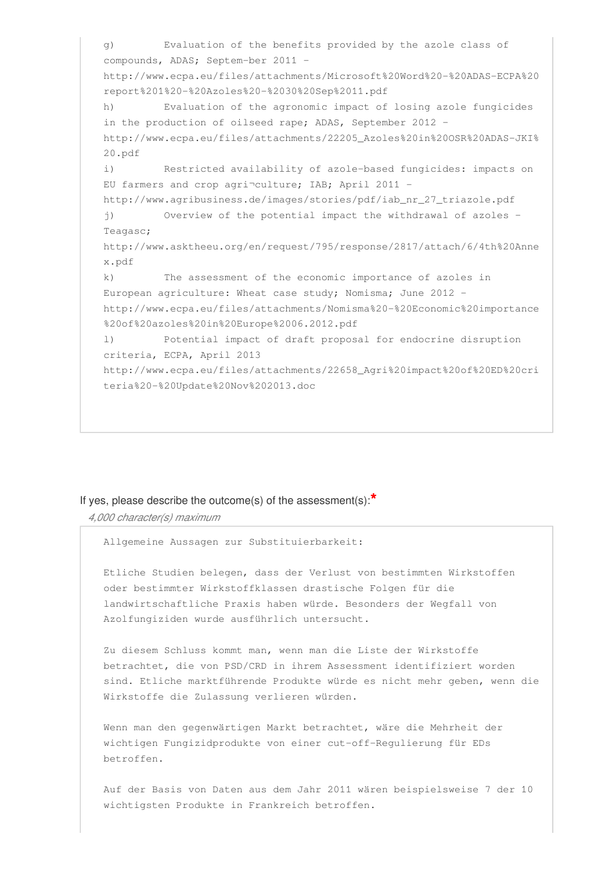```
g) Evaluation of the benefits provided by the azole class of
compounds, ADAS; Septem-ber 2011 -
http://www.ecpa.eu/files/attachments/Microsoft%20Word%20-%20ADAS-ECPA%20
report%201%20-%20Azoles%20-%2030%20Sep%2011.pdf
h) Evaluation of the agronomic impact of losing azole fungicides
in the production of oilseed rape; ADAS, September 2012 –
http://www.ecpa.eu/files/attachments/22205_Azoles%20in%20OSR%20ADAS-JKI%
20.pdf
i) Restricted availability of azole-based fungicides: impacts on
EU farmers and crop agri¬culture; IAB; April 2011 -
http://www.agribusiness.de/images/stories/pdf/iab_nr_27_triazole.pdf
j) Overview of the potential impact the withdrawal of azoles –
Teagasc;
http://www.asktheeu.org/en/request/795/response/2817/attach/6/4th%20Anne
x.pdf
k) The assessment of the economic importance of azoles in
European agriculture: Wheat case study; Nomisma; June 2012 -
http://www.ecpa.eu/files/attachments/Nomisma%20-%20Economic%20importance
%20of%20azoles%20in%20Europe%2006.2012.pdf
l) Potential impact of draft proposal for endocrine disruption
criteria, ECPA, April 2013
http://www.ecpa.eu/files/attachments/22658_Agri%20impact%20of%20ED%20cri
teria%20-%20Update%20Nov%202013.doc
```
#### If yes, please describe the outcome(s) of the assessment(s):**\***

*4,000 character(s) maximum* 

Allgemeine Aussagen zur Substituierbarkeit:

Etliche Studien belegen, dass der Verlust von bestimmten Wirkstoffen oder bestimmter Wirkstoffklassen drastische Folgen für die landwirtschaftliche Praxis haben würde. Besonders der Wegfall von Azolfungiziden wurde ausführlich untersucht.

Zu diesem Schluss kommt man, wenn man die Liste der Wirkstoffe betrachtet, die von PSD/CRD in ihrem Assessment identifiziert worden sind. Etliche marktführende Produkte würde es nicht mehr geben, wenn die Wirkstoffe die Zulassung verlieren würden.

Wenn man den gegenwärtigen Markt betrachtet, wäre die Mehrheit der wichtigen Fungizidprodukte von einer cut-off-Regulierung für EDs betroffen.

Auf der Basis von Daten aus dem Jahr 2011 wären beispielsweise 7 der 10 wichtigsten Produkte in Frankreich betroffen.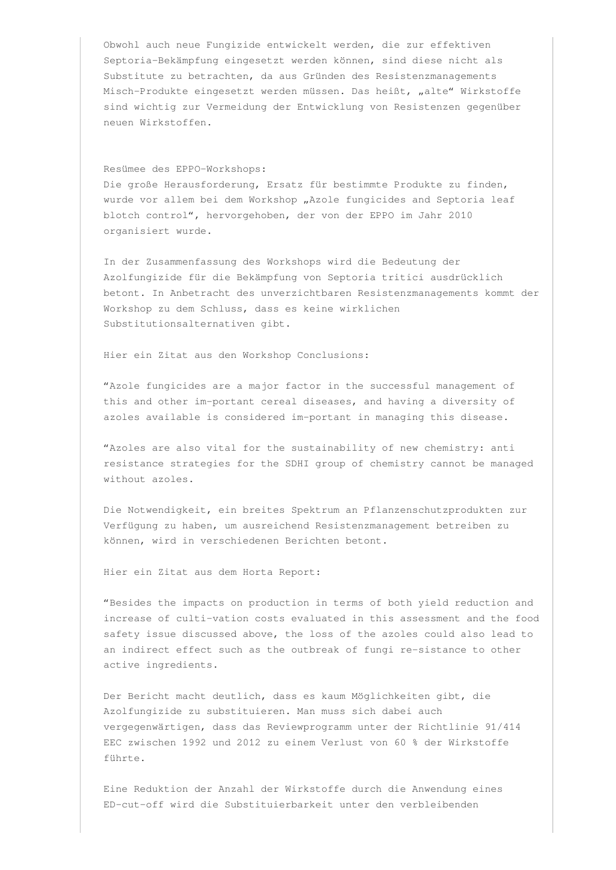Obwohl auch neue Fungizide entwickelt werden, die zur effektiven Septoria-Bekämpfung eingesetzt werden können, sind diese nicht als Substitute zu betrachten, da aus Gründen des Resistenzmanagements Misch-Produkte eingesetzt werden müssen. Das heißt, "alte" Wirkstoffe sind wichtig zur Vermeidung der Entwicklung von Resistenzen gegenüber neuen Wirkstoffen.

Resümee des EPPO-Workshops:

Die große Herausforderung, Ersatz für bestimmte Produkte zu finden, wurde vor allem bei dem Workshop "Azole fungicides and Septoria leaf blotch control", hervorgehoben, der von der EPPO im Jahr 2010 organisiert wurde.

In der Zusammenfassung des Workshops wird die Bedeutung der Azolfungizide für die Bekämpfung von Septoria tritici ausdrücklich betont. In Anbetracht des unverzichtbaren Resistenzmanagements kommt der Workshop zu dem Schluss, dass es keine wirklichen Substitutionsalternativen gibt.

Hier ein Zitat aus den Workshop Conclusions:

"Azole fungicides are a major factor in the successful management of this and other im-portant cereal diseases, and having a diversity of azoles available is considered im-portant in managing this disease.

"Azoles are also vital for the sustainability of new chemistry: anti resistance strategies for the SDHI group of chemistry cannot be managed without azoles.

Die Notwendigkeit, ein breites Spektrum an Pflanzenschutzprodukten zur Verfügung zu haben, um ausreichend Resistenzmanagement betreiben zu können, wird in verschiedenen Berichten betont.

Hier ein Zitat aus dem Horta Report:

"Besides the impacts on production in terms of both yield reduction and increase of culti-vation costs evaluated in this assessment and the food safety issue discussed above, the loss of the azoles could also lead to an indirect effect such as the outbreak of fungi re-sistance to other active ingredients.

Der Bericht macht deutlich, dass es kaum Möglichkeiten gibt, die Azolfungizide zu substituieren. Man muss sich dabei auch vergegenwärtigen, dass das Reviewprogramm unter der Richtlinie 91/414 EEC zwischen 1992 und 2012 zu einem Verlust von 60 % der Wirkstoffe führte.

Eine Reduktion der Anzahl der Wirkstoffe durch die Anwendung eines ED-cut-off wird die Substituierbarkeit unter den verbleibenden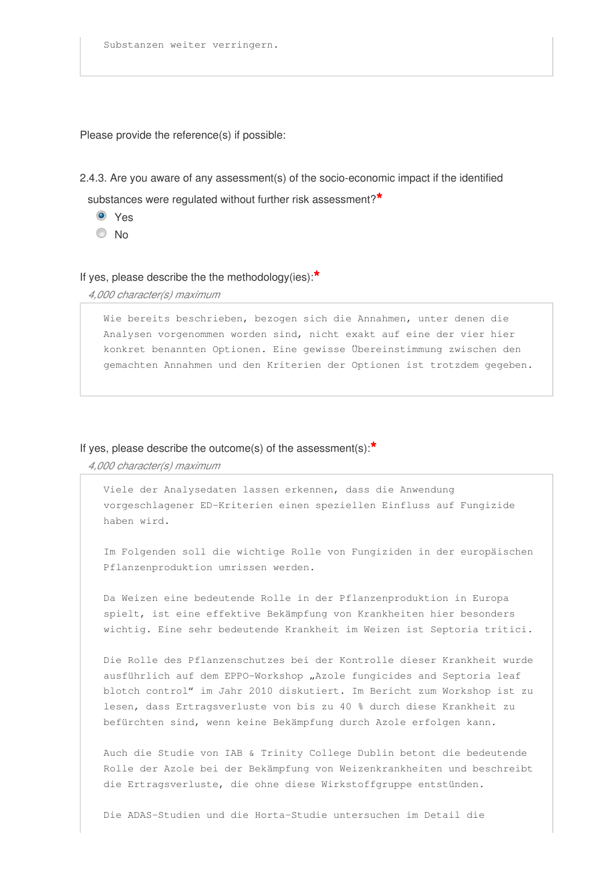Please provide the reference(s) if possible:

2.4.3. Are you aware of any assessment(s) of the socio-economic impact if the identified

substances were regulated without further risk assessment?**\***

- Yes
- $\odot$  No

#### If yes, please describe the the methodology(ies):**\***

*4,000 character(s) maximum* 

Wie bereits beschrieben, bezogen sich die Annahmen, unter denen die Analysen vorgenommen worden sind, nicht exakt auf eine der vier hier konkret benannten Optionen. Eine gewisse Übereinstimmung zwischen den gemachten Annahmen und den Kriterien der Optionen ist trotzdem gegeben.

#### If yes, please describe the outcome(s) of the assessment(s):**\***

*4,000 character(s) maximum* 

Viele der Analysedaten lassen erkennen, dass die Anwendung vorgeschlagener ED-Kriterien einen speziellen Einfluss auf Fungizide haben wird.

Im Folgenden soll die wichtige Rolle von Fungiziden in der europäischen Pflanzenproduktion umrissen werden.

Da Weizen eine bedeutende Rolle in der Pflanzenproduktion in Europa spielt, ist eine effektive Bekämpfung von Krankheiten hier besonders wichtig. Eine sehr bedeutende Krankheit im Weizen ist Septoria tritici.

Die Rolle des Pflanzenschutzes bei der Kontrolle dieser Krankheit wurde ausführlich auf dem EPPO-Workshop "Azole fungicides and Septoria leaf blotch control" im Jahr 2010 diskutiert. Im Bericht zum Workshop ist zu lesen, dass Ertragsverluste von bis zu 40 % durch diese Krankheit zu befürchten sind, wenn keine Bekämpfung durch Azole erfolgen kann.

Auch die Studie von IAB & Trinity College Dublin betont die bedeutende Rolle der Azole bei der Bekämpfung von Weizenkrankheiten und beschreibt die Ertragsverluste, die ohne diese Wirkstoffgruppe entstünden.

Die ADAS-Studien und die Horta-Studie untersuchen im Detail die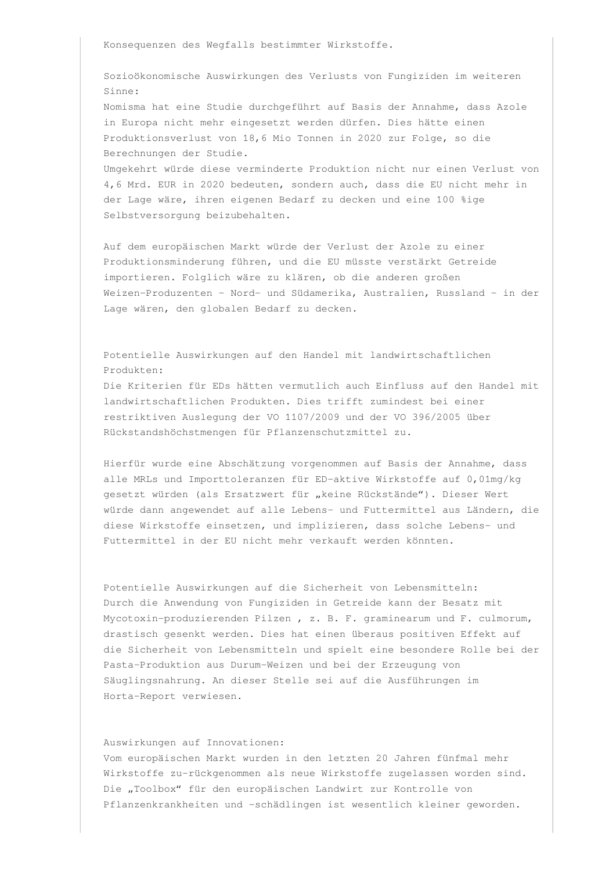Konsequenzen des Wegfalls bestimmter Wirkstoffe.

Sozioökonomische Auswirkungen des Verlusts von Fungiziden im weiteren Sinne:

Nomisma hat eine Studie durchgeführt auf Basis der Annahme, dass Azole in Europa nicht mehr eingesetzt werden dürfen. Dies hätte einen Produktionsverlust von 18,6 Mio Tonnen in 2020 zur Folge, so die Berechnungen der Studie.

Umgekehrt würde diese verminderte Produktion nicht nur einen Verlust von 4,6 Mrd. EUR in 2020 bedeuten, sondern auch, dass die EU nicht mehr in der Lage wäre, ihren eigenen Bedarf zu decken und eine 100 %ige Selbstversorgung beizubehalten.

Auf dem europäischen Markt würde der Verlust der Azole zu einer Produktionsminderung führen, und die EU müsste verstärkt Getreide importieren. Folglich wäre zu klären, ob die anderen großen Weizen-Produzenten – Nord- und Südamerika, Australien, Russland – in der Lage wären, den globalen Bedarf zu decken.

Potentielle Auswirkungen auf den Handel mit landwirtschaftlichen Produkten:

Die Kriterien für EDs hätten vermutlich auch Einfluss auf den Handel mit landwirtschaftlichen Produkten. Dies trifft zumindest bei einer restriktiven Auslegung der VO 1107/2009 und der VO 396/2005 über Rückstandshöchstmengen für Pflanzenschutzmittel zu.

Hierfür wurde eine Abschätzung vorgenommen auf Basis der Annahme, dass alle MRLs und Importtoleranzen für ED-aktive Wirkstoffe auf 0,01mg/kg gesetzt würden (als Ersatzwert für "keine Rückstände"). Dieser Wert würde dann angewendet auf alle Lebens- und Futtermittel aus Ländern, die diese Wirkstoffe einsetzen, und implizieren, dass solche Lebens- und Futtermittel in der EU nicht mehr verkauft werden könnten.

Potentielle Auswirkungen auf die Sicherheit von Lebensmitteln: Durch die Anwendung von Fungiziden in Getreide kann der Besatz mit Mycotoxin-produzierenden Pilzen , z. B. F. graminearum und F. culmorum, drastisch gesenkt werden. Dies hat einen überaus positiven Effekt auf die Sicherheit von Lebensmitteln und spielt eine besondere Rolle bei der Pasta-Produktion aus Durum-Weizen und bei der Erzeugung von Säuglingsnahrung. An dieser Stelle sei auf die Ausführungen im Horta-Report verwiesen.

#### Auswirkungen auf Innovationen:

Vom europäischen Markt wurden in den letzten 20 Jahren fünfmal mehr Wirkstoffe zu-rückgenommen als neue Wirkstoffe zugelassen worden sind. Die "Toolbox" für den europäischen Landwirt zur Kontrolle von Pflanzenkrankheiten und –schädlingen ist wesentlich kleiner geworden.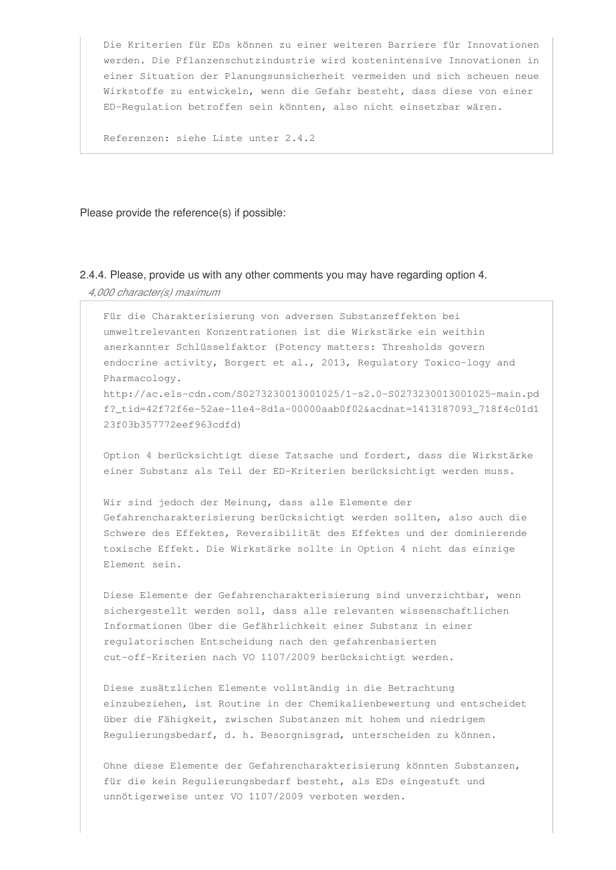Die Kriterien für EDs können zu einer weiteren Barriere für Innovationen werden. Die Pflanzenschutzindustrie wird kostenintensive Innovationen in einer Situation der Planungsunsicherheit vermeiden und sich scheuen neue Wirkstoffe zu entwickeln, wenn die Gefahr besteht, dass diese von einer ED-Regulation betroffen sein könnten, also nicht einsetzbar wären.

Referenzen: siehe Liste unter 2.4.2

Please provide the reference(s) if possible:

### 2.4.4. Please, provide us with any other comments you may have regarding option 4. *4,000 character(s) maximum*

Für die Charakterisierung von adversen Substanzeffekten bei umweltrelevanten Konzentrationen ist die Wirkstärke ein weithin anerkannter Schlüsselfaktor (Potency matters: Thresholds govern endocrine activity, Borgert et al., 2013, Regulatory Toxico-logy and Pharmacology.

http://ac.els-cdn.com/S0273230013001025/1-s2.0-S0273230013001025-main.pd f?\_tid=42f72f6e-52ae-11e4-8d1a-00000aab0f02&acdnat=1413187093\_718f4c01d1 23f03b357772eef963cdfd)

Option 4 berücksichtigt diese Tatsache und fordert, dass die Wirkstärke einer Substanz als Teil der ED-Kriterien berücksichtigt werden muss.

Wir sind jedoch der Meinung, dass alle Elemente der Gefahrencharakterisierung berücksichtigt werden sollten, also auch die Schwere des Effektes, Reversibilität des Effektes und der dominierende toxische Effekt. Die Wirkstärke sollte in Option 4 nicht das einzige Element sein.

Diese Elemente der Gefahrencharakterisierung sind unverzichtbar, wenn sichergestellt werden soll, dass alle relevanten wissenschaftlichen Informationen über die Gefährlichkeit einer Substanz in einer regulatorischen Entscheidung nach den gefahrenbasierten cut-off-Kriterien nach VO 1107/2009 berücksichtigt werden.

Diese zusätzlichen Elemente vollständig in die Betrachtung einzubeziehen, ist Routine in der Chemikalienbewertung und entscheidet über die Fähigkeit, zwischen Substanzen mit hohem und niedrigem Regulierungsbedarf, d. h. Besorgnisgrad, unterscheiden zu können.

Ohne diese Elemente der Gefahrencharakterisierung könnten Substanzen, für die kein Regulierungsbedarf besteht, als EDs eingestuft und unnötigerweise unter VO 1107/2009 verboten werden.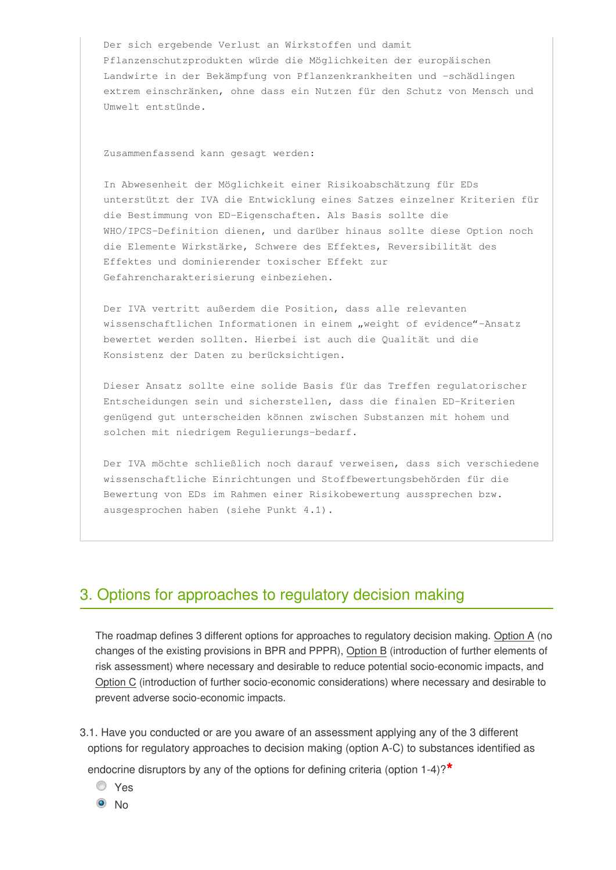Der sich ergebende Verlust an Wirkstoffen und damit Pflanzenschutzprodukten würde die Möglichkeiten der europäischen Landwirte in der Bekämpfung von Pflanzenkrankheiten und –schädlingen extrem einschränken, ohne dass ein Nutzen für den Schutz von Mensch und Umwelt entstünde.

Zusammenfassend kann gesagt werden:

In Abwesenheit der Möglichkeit einer Risikoabschätzung für EDs unterstützt der IVA die Entwicklung eines Satzes einzelner Kriterien für die Bestimmung von ED-Eigenschaften. Als Basis sollte die WHO/IPCS-Definition dienen, und darüber hinaus sollte diese Option noch die Elemente Wirkstärke, Schwere des Effektes, Reversibilität des Effektes und dominierender toxischer Effekt zur Gefahrencharakterisierung einbeziehen.

Der IVA vertritt außerdem die Position, dass alle relevanten wissenschaftlichen Informationen in einem "weight of evidence"-Ansatz bewertet werden sollten. Hierbei ist auch die Qualität und die Konsistenz der Daten zu berücksichtigen.

Dieser Ansatz sollte eine solide Basis für das Treffen regulatorischer Entscheidungen sein und sicherstellen, dass die finalen ED-Kriterien genügend gut unterscheiden können zwischen Substanzen mit hohem und solchen mit niedrigem Regulierungs-bedarf.

Der IVA möchte schließlich noch darauf verweisen, dass sich verschiedene wissenschaftliche Einrichtungen und Stoffbewertungsbehörden für die Bewertung von EDs im Rahmen einer Risikobewertung aussprechen bzw. ausgesprochen haben (siehe Punkt 4.1).

## 3. Options for approaches to regulatory decision making

The roadmap defines 3 different options for approaches to regulatory decision making. Option A (no changes of the existing provisions in BPR and PPPR), Option B (introduction of further elements of risk assessment) where necessary and desirable to reduce potential socio-economic impacts, and Option C (introduction of further socio-economic considerations) where necessary and desirable to prevent adverse socio-economic impacts.

3.1. Have you conducted or are you aware of an assessment applying any of the 3 different options for regulatory approaches to decision making (option A-C) to substances identified as

endocrine disruptors by any of the options for defining criteria (option 1-4)?**\***

- Yes
- <sup>O</sup>No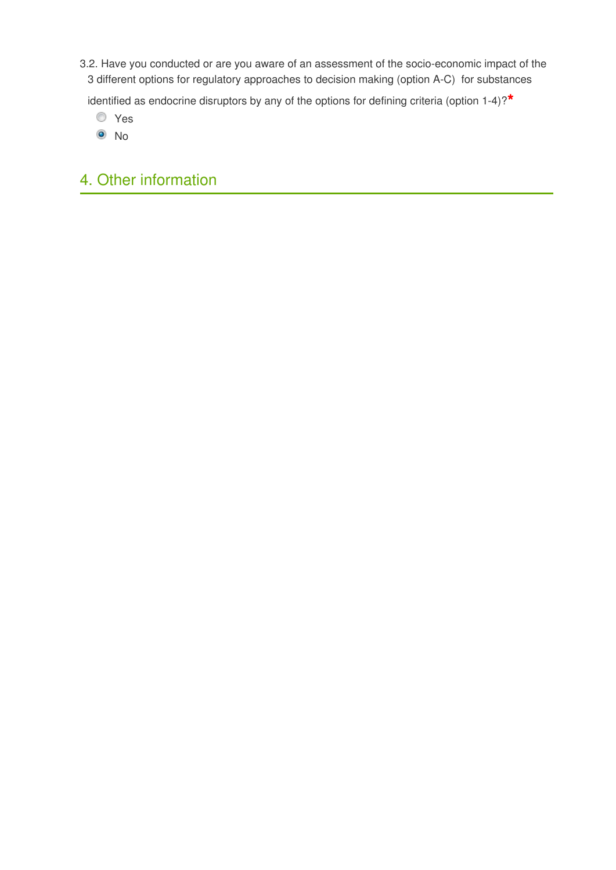3.2. Have you conducted or are you aware of an assessment of the socio-economic impact of the 3 different options for regulatory approaches to decision making (option A-C) for substances

identified as endocrine disruptors by any of the options for defining criteria (option 1-4)?**\***

- Yes
- <sup>O</sup>No

# 4. Other information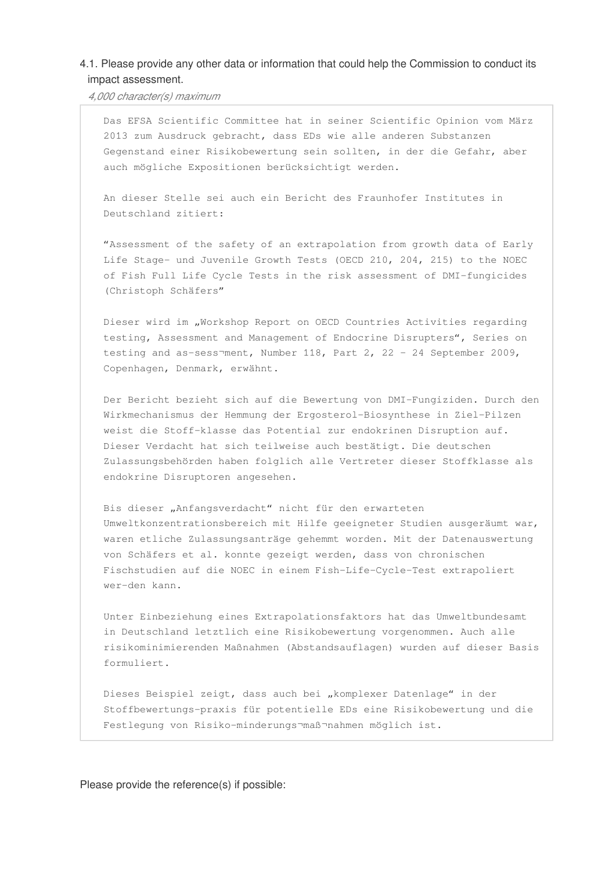#### 4.1. Please provide any other data or information that could help the Commission to conduct its impact assessment.

*4,000 character(s) maximum* 

Das EFSA Scientific Committee hat in seiner Scientific Opinion vom März 2013 zum Ausdruck gebracht, dass EDs wie alle anderen Substanzen Gegenstand einer Risikobewertung sein sollten, in der die Gefahr, aber auch mögliche Expositionen berücksichtigt werden.

An dieser Stelle sei auch ein Bericht des Fraunhofer Institutes in Deutschland zitiert:

"Assessment of the safety of an extrapolation from growth data of Early Life Stage- und Juvenile Growth Tests (OECD 210, 204, 215) to the NOEC of Fish Full Life Cycle Tests in the risk assessment of DMI-fungicides (Christoph Schäfers"

Dieser wird im "Workshop Report on OECD Countries Activities regarding testing, Assessment and Management of Endocrine Disrupters", Series on testing and as-sess¬ment, Number 118, Part 2, 22 – 24 September 2009, Copenhagen, Denmark, erwähnt.

Der Bericht bezieht sich auf die Bewertung von DMI-Fungiziden. Durch den Wirkmechanismus der Hemmung der Ergosterol-Biosynthese in Ziel-Pilzen weist die Stoff-klasse das Potential zur endokrinen Disruption auf. Dieser Verdacht hat sich teilweise auch bestätigt. Die deutschen Zulassungsbehörden haben folglich alle Vertreter dieser Stoffklasse als endokrine Disruptoren angesehen.

Bis dieser "Anfangsverdacht" nicht für den erwarteten Umweltkonzentrationsbereich mit Hilfe geeigneter Studien ausgeräumt war, waren etliche Zulassungsanträge gehemmt worden. Mit der Datenauswertung von Schäfers et al. konnte gezeigt werden, dass von chronischen Fischstudien auf die NOEC in einem Fish-Life-Cycle-Test extrapoliert wer-den kann.

Unter Einbeziehung eines Extrapolationsfaktors hat das Umweltbundesamt in Deutschland letztlich eine Risikobewertung vorgenommen. Auch alle risikominimierenden Maßnahmen (Abstandsauflagen) wurden auf dieser Basis formuliert.

Dieses Beispiel zeigt, dass auch bei "komplexer Datenlage" in der Stoffbewertungs-praxis für potentielle EDs eine Risikobewertung und die Festlegung von Risiko-minderungs-maß-nahmen möglich ist.

Please provide the reference(s) if possible: